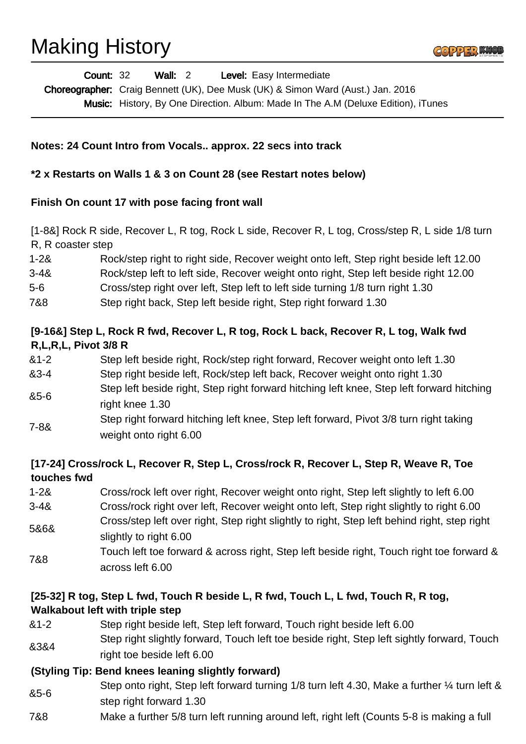# Making History



| <b>Count: 32</b> | Wall: 2 | <b>Level:</b> Easy Intermediate                                                          |
|------------------|---------|------------------------------------------------------------------------------------------|
|                  |         | <b>Choreographer:</b> Craig Bennett (UK), Dee Musk (UK) & Simon Ward (Aust.) Jan. 2016   |
|                  |         | <b>Music:</b> History, By One Direction. Album: Made In The A.M (Deluxe Edition), iTunes |

#### **Notes: 24 Count Intro from Vocals.. approx. 22 secs into track**

#### **\*2 x Restarts on Walls 1 & 3 on Count 28 (see Restart notes below)**

#### **Finish On count 17 with pose facing front wall**

[1-8&] Rock R side, Recover L, R tog, Rock L side, Recover R, L tog, Cross/step R, L side 1/8 turn R, R coaster step

- 1-2& Rock/step right to right side, Recover weight onto left, Step right beside left 12.00
- 3-4& Rock/step left to left side, Recover weight onto right, Step left beside right 12.00
- 5-6 Cross/step right over left, Step left to left side turning 1/8 turn right 1.30
- 7&8 Step right back, Step left beside right, Step right forward 1.30

## **[9-16&] Step L, Rock R fwd, Recover L, R tog, Rock L back, Recover R, L tog, Walk fwd R,L,R,L, Pivot 3/8 R**

- &1-2 Step left beside right, Rock/step right forward, Recover weight onto left 1.30
- &3-4 Step right beside left, Rock/step left back, Recover weight onto right 1.30
- &5-6 Step left beside right, Step right forward hitching left knee, Step left forward hitching right knee 1.30
- 7-8& Step right forward hitching left knee, Step left forward, Pivot 3/8 turn right taking weight onto right 6.00

# **[17-24] Cross/rock L, Recover R, Step L, Cross/rock R, Recover L, Step R, Weave R, Toe touches fwd**

1-2& Cross/rock left over right, Recover weight onto right, Step left slightly to left 6.00 3-4& Cross/rock right over left, Recover weight onto left, Step right slightly to right 6.00 5&6& Cross/step left over right, Step right slightly to right, Step left behind right, step right slightly to right 6.00 7&8 Touch left toe forward & across right, Step left beside right, Touch right toe forward & across left 6.00

# **[25-32] R tog, Step L fwd, Touch R beside L, R fwd, Touch L, L fwd, Touch R, R tog, Walkabout left with triple step**

- &1-2 Step right beside left, Step left forward, Touch right beside left 6.00
- &3&4 Step right slightly forward, Touch left toe beside right, Step left sightly forward, Touch right toe beside left 6.00

### **(Styling Tip: Bend knees leaning slightly forward)**

- &5-6 Step onto right, Step left forward turning 1/8 turn left 4.30, Make a further 1/4 turn left & step right forward 1.30
- 7&8 Make a further 5/8 turn left running around left, right left (Counts 5-8 is making a full